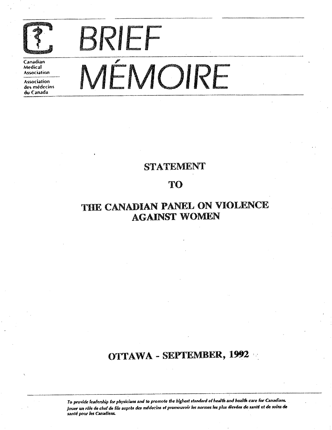

**Canadian**  Medical **Association** 

**Assodalion**  des médecins<br>du Canada

# **BRIEF**  , **MEMOIRE**

## STATEMENT

## TO

# THE CANADIAN PANEL ON VIOLENCE AGAINST WOMEN

## **OTTAWA** - SEPTEMBER, **1992** ·

*To provide leadership for physicians and to promote the highest standard of health and health care for Canadians.* Jouer un rôle de chef de file auprès des médecins et promouvoir les normes les plus élevées de santé et de soins de **Jante pour /eJ** *Canadiens.*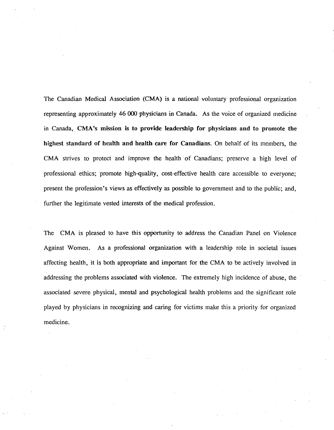The Canadian Medical Association (CMA) is a national voluntary professional organization representing approximately 46 000 physicians in Canada. As the voice of organized medicine in Canada, CMA's mission is to provide leadership for physicians and to promote the highest standard of health and health care for Canadians. On behalf of its members, the CMA strives to protect and improve the health of Canadians; preserve a high level of professional ethics; promote high-quality, cost-effective health care accessible to everyone; present the profession's views as effectively as possible to government and to the public; and, further the legitimate vested interests of the medical profession.

The CMA is pleased to have this opportunity to address the Canadian Panel on Violence Against Women. As a professional organization with a leadership role in societal issues affecting health, it is both appropriate and important for the CMA to be actively involved in addressing the problems associated with violence. The extremely high incidence of abuse, the associated severe physical, mental and psychological health problems and the significant role played by physicians in recognizing and caring for victims make this a priority for organized medicine.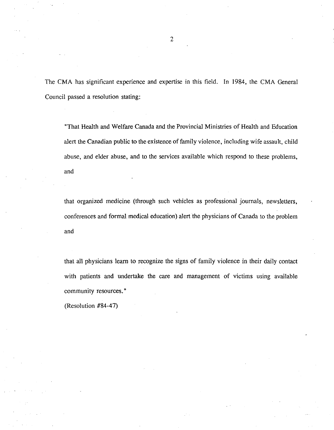The CMA has significant experience and expertise in this field. In 1984, the CMA General Council passed a resolution stating:

"That Health and Welfare Canada and the Provincial Ministries of Health and Education alert the Canadian public to the existence of family violence, including wife assault, child abuse, and elder abuse, and to the services available which respond to these problems, and

that organized medicine (through such vehicles as professional journals, newsletters, conferences and formal medical education) alert the physicians of Canada to the problem and

that all physicians learn **to** recognize the signs of family violence in their daily contact with patients and undertake the care and management of victims using available community resources."

(Resolution #84-47)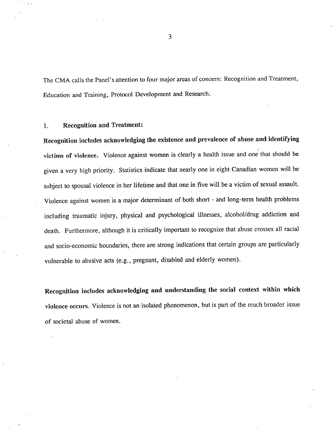The CMA calls the Panel's attention to four major areas of concern: Recognition and Treatment, Education and Training, Protocol Development and Research.

### 1. Recognition and Treatment:

Recognition includes acknowledging the existence and prevalence of abuse and identifying victims of violence. Violence against women is clearly a health issue and one that should be given a very high priority. Statistics indicate that nearly one in eight Canadian women will be subject to spousal violence in her lifetime and that one in five will be a victim of sexual assault. Violence against women is a major determinant of both short - and long-term health problems including traumatic injury, physical and psychological illnesses, alcohol/drug addiction and death. Furthermore, although it is critically important to recognize that abuse crosses all racial and socio-economic boundaries, there are strong indications that certain groups are particularly vulnerable to abusive acts (e.g., pregnant, disabled and elderly women).

Recognition includes acknowledging and understanding the social context within which violence occurs. Violence is not an isolated phenomenon, but is part of the much broader issue of societal abuse of women.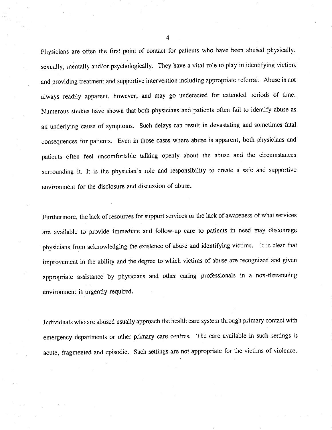Physicians are often the first point of contact for patients who have been abused physically, sexually, mentally and/or psychologically. They have a vital role to play in identifying victims and providing treatment and supportive intervention including appropriate referral. Abuse is not always readily apparent, however, and may go undetected for extended periods of time. Numerous studies have shown that both physicians and patients often fail to identify abuse as an underlying cause of symptoms. Such delays can result in devastating and sometimes fatal consequences for patients. Even in those cases where abuse is apparent, both physicians and patients often feel uncomfortable talking openly about the abuse and the circumstances surrounding it. It is the physician's role and responsibility to create a safe and supportive environment for the disclosure and discussion of abuse.

Furthermore, the lack of resources for support services or the lack of awareness of what services are available to provide immediate and follow-up care to patients in need may discourage physicians from acknowledging the existence of abuse and identifying victims. It is clear that improvement in the ability and the degree to which victims of abuse are recognized and given appropriate assistance by physicians and other caring professionals in a non-threatening environment is urgently required.

Individuals who are abused usually approach the health care system through primary contact with emergency departments or other primary care centres. The care available in such settings is acute, fragmented and episodic. Such settings are not appropriate for the victims of violence.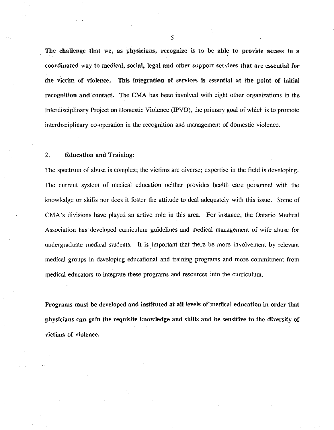The challenge that we, as physicians, recognize is to be able to provide access in a coordinated way to medical, social, legal and other support services that are essential for the victim of violence. This integration of services is essential at the point of initial recognition and contact. The CMA has been involved with eight other organizations in the Interdisciplinary Project on Domestic Violence (IPVD), the primary goal of which is to promote interdisciplinary co-operation in the recognition and management of domestic violence.

## 2. Education and Training:

The spectrum of abuse is complex; the victims are diverse; expertise in the field is developing. The current system of medical education neither provides health care personnel with the knowledge or skills nor does it foster the attitude to deal adequately with this issue. Some of CMA's divisions have played an active role in this area. For instance, the Ontario Medical Association has developed curriculum guidelines and medical management of wife abuse for undergraduate medical students. It is important that there be more involvement by relevant medical groups in developing educational and training programs and more commitment from medical educators to integrate these programs and resources into the curriculum.

**Programs must be developed and instituted at all levels of medical education** in **order that physicians can gain the requisite knowledge and skills and be sensitive to the diversity of victims of violence.**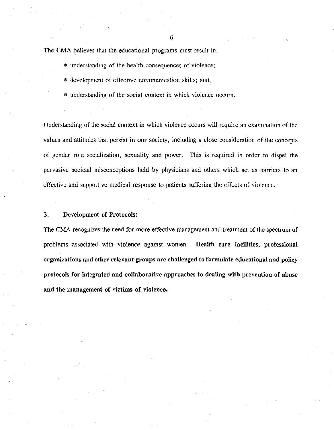The CMA believes that the educational programs must result in:

- \I> understanding of the health consequences of violence;
- @ development of effective communication skills; and,
- @ understanding of the social context in which violence occurs.

Understanding of the social context in which violence occurs will require an examination of the values and attitudes that persist in our society, including a close consideration of the concepts of gender role socialization, sexuality and power. This is required in order to dispel the pervasive societal misconceptions held by physicians and others which act as barriers to an effective and supportive medical response to patients suffering the effects of violence.

### 3. **Development of Protocols:**

The CMA recognizes the need for more effective management and treatment of the spectrum of problems associated with violence against women. **Health care facilities, professional organizations and other relevant groups are challenged to formulate educational and policy protocols for integrated and collaborative approaches to dealing with prevention of abuse**  and the management of victims **of** violence.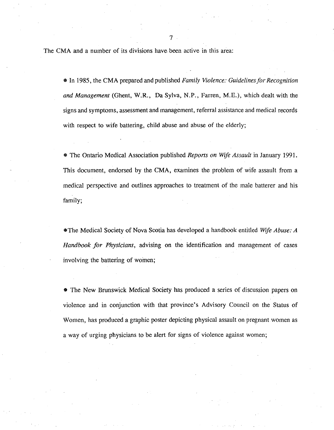The CMA and a number of its divisions have been active in this area:

• In 1985, the CMA prepared and published *Family Violence: Guidelines for Recognition and Management* (Ghent, W.R., Da Sylva, N.P., Farren, M.E.), which dealt with the signs and symptoms, assessment and management, referral assistance and medical records with respect to wife battering, child abuse and abuse of the elderly;

• The Ontario Medical Association published *Repons on Wife Assault* in January 1991. This document, endorsed by the CMA, examines the problem of wife assault from a medical perspective and outlines approaches to treatment of the male batterer and his family;

•The Medical Society of Nova Scotia has developed a handbook entitled *Wife Abuse: A Handbook for Physicians,* advising on the identification and management of cases involving the battering of women;

• The New Brunswick Medical Society has produced a series of discussion papers on violence and in conjunction with that province's Advisory Council on the Status of Women, has produced a graphic poster depicting physical assault on pregnant women as a way of urging physicians to be alert for signs of violence against women;